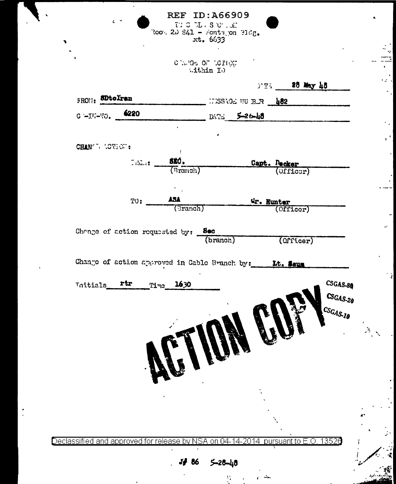REF ID: A66909

 $\overline{a}$ 

 $\frac{1}{2}$ ۰.

 $\cdot$ 

TD 3 DL S UT . Jf.<br>Root 2D S41 - Fonta on 31dg.<br>xt. 6633

 $\frac{1}{2}$ ÷

k.  $\mathbf{r}$  $\mathcal{L}^{\mathcal{L}}$  $\overline{a}$ 

 $\mathcal{L}_{\mathcal{A}}$ 

 $\epsilon^{(0)}$ 

 $\overline{\mathscr{L}}$  .

CHARA OF LOTION

| FRON: SDtoIran         |     |                                                                | FT. 28 May 48<br>___ ITISSAGE UU BLR __ <mark>182</mark> ________ |  |                           |                            |
|------------------------|-----|----------------------------------------------------------------|-------------------------------------------------------------------|--|---------------------------|----------------------------|
| $C = H = 50.$ 6220     |     |                                                                |                                                                   |  |                           |                            |
|                        |     |                                                                | $10474$ 5-26-48                                                   |  |                           |                            |
|                        |     |                                                                | $\pmb{r}$                                                         |  |                           |                            |
| CHAN'T LOTEOT:         |     | -11                                                            |                                                                   |  |                           |                            |
|                        |     | $\text{CAL}_{\text{eff}} = \frac{\text{SIC}}{\text{(Branoh)}}$ |                                                                   |  | Capt. Decker<br>(Officer) |                            |
|                        |     |                                                                |                                                                   |  |                           |                            |
|                        |     |                                                                |                                                                   |  |                           |                            |
|                        | TO: | ASA<br>(Granch)                                                |                                                                   |  | Gr. Hunter (Officer)      |                            |
|                        |     |                                                                |                                                                   |  |                           |                            |
|                        |     | Change of action requested by: Sec                             |                                                                   |  |                           |                            |
|                        |     |                                                                | (branch)                                                          |  | (Officer)                 |                            |
| Thitials rtr Time 1630 |     |                                                                |                                                                   |  |                           | CSGAS-80                   |
|                        |     | BIIN                                                           |                                                                   |  |                           | $CSGAS_{-20}$<br>ACSGAS.10 |
|                        |     |                                                                |                                                                   |  |                           |                            |
|                        |     |                                                                |                                                                   |  |                           |                            |
|                        |     |                                                                |                                                                   |  |                           |                            |
|                        |     |                                                                |                                                                   |  |                           |                            |

 $\frac{1}{2}$ 

 $\mathbf{r}$ 

للحاري